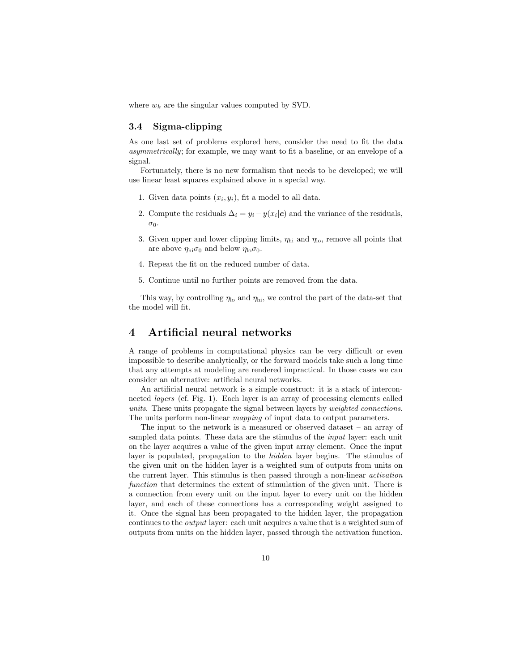where  $w_k$  are the singular values computed by SVD.

## 3.4 Sigma-clipping

As one last set of problems explored here, consider the need to fit the data asymmetrically; for example, we may want to fit a baseline, or an envelope of a signal.

Fortunately, there is no new formalism that needs to be developed; we will use linear least squares explained above in a special way.

- 1. Given data points  $(x_i, y_i)$ , fit a model to all data.
- 2. Compute the residuals  $\Delta_i = y_i y(x_i|\mathbf{c})$  and the variance of the residuals,  $\sigma_0$ .
- 3. Given upper and lower clipping limits,  $\eta_{\text{hi}}$  and  $\eta_{\text{lo}}$ , remove all points that are above  $\eta_{\text{hi}}\sigma_0$  and below  $\eta_{\text{lo}}\sigma_0$ .
- 4. Repeat the fit on the reduced number of data.
- 5. Continue until no further points are removed from the data.

This way, by controlling  $\eta_{\text{lo}}$  and  $\eta_{\text{hi}}$ , we control the part of the data-set that the model will fit.

## 4 Artificial neural networks

A range of problems in computational physics can be very difficult or even impossible to describe analytically, or the forward models take such a long time that any attempts at modeling are rendered impractical. In those cases we can consider an alternative: artificial neural networks.

An artificial neural network is a simple construct: it is a stack of interconnected layers (cf. Fig. 1). Each layer is an array of processing elements called units. These units propagate the signal between layers by weighted connections. The units perform non-linear mapping of input data to output parameters.

The input to the network is a measured or observed dataset – an array of sampled data points. These data are the stimulus of the input layer: each unit on the layer acquires a value of the given input array element. Once the input layer is populated, propagation to the hidden layer begins. The stimulus of the given unit on the hidden layer is a weighted sum of outputs from units on the current layer. This stimulus is then passed through a non-linear activation function that determines the extent of stimulation of the given unit. There is a connection from every unit on the input layer to every unit on the hidden layer, and each of these connections has a corresponding weight assigned to it. Once the signal has been propagated to the hidden layer, the propagation continues to the output layer: each unit acquires a value that is a weighted sum of outputs from units on the hidden layer, passed through the activation function.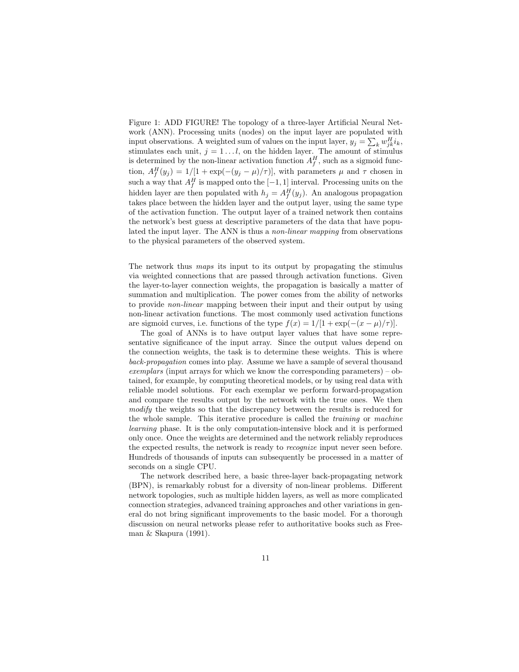Figure 1: ADD FIGURE! The topology of a three-layer Artificial Neural Network (ANN). Processing units (nodes) on the input layer are populated with input observations. A weighted sum of values on the input layer,  $y_j = \sum_k w_{jk}^H i_k$ , stimulates each unit,  $j = 1...l$ , on the hidden layer. The amount of stimulus is determined by the non-linear activation function  $A_f^H$ , such as a sigmoid function,  $A_f^H(y_j) = 1/[1 + \exp(-(y_j - \mu)/\tau)]$ , with parameters  $\mu$  and  $\tau$  chosen in such a way that  $A_f^H$  is mapped onto the  $[-1, 1]$  interval. Processing units on the hidden layer are then populated with  $h_j = A_f^H(y_j)$ . An analogous propagation takes place between the hidden layer and the output layer, using the same type of the activation function. The output layer of a trained network then contains the network's best guess at descriptive parameters of the data that have populated the input layer. The ANN is thus a non-linear mapping from observations to the physical parameters of the observed system.

The network thus maps its input to its output by propagating the stimulus via weighted connections that are passed through activation functions. Given the layer-to-layer connection weights, the propagation is basically a matter of summation and multiplication. The power comes from the ability of networks to provide non-linear mapping between their input and their output by using non-linear activation functions. The most commonly used activation functions are sigmoid curves, i.e. functions of the type  $f(x) = 1/[1 + \exp(-(x - \mu)/\tau)].$ 

The goal of ANNs is to have output layer values that have some representative significance of the input array. Since the output values depend on the connection weights, the task is to determine these weights. This is where back-propagation comes into play. Assume we have a sample of several thousand exemplars (input arrays for which we know the corresponding parameters) – obtained, for example, by computing theoretical models, or by using real data with reliable model solutions. For each exemplar we perform forward-propagation and compare the results output by the network with the true ones. We then modify the weights so that the discrepancy between the results is reduced for the whole sample. This iterative procedure is called the training or machine learning phase. It is the only computation-intensive block and it is performed only once. Once the weights are determined and the network reliably reproduces the expected results, the network is ready to recognize input never seen before. Hundreds of thousands of inputs can subsequently be processed in a matter of seconds on a single CPU.

The network described here, a basic three-layer back-propagating network (BPN), is remarkably robust for a diversity of non-linear problems. Different network topologies, such as multiple hidden layers, as well as more complicated connection strategies, advanced training approaches and other variations in general do not bring significant improvements to the basic model. For a thorough discussion on neural networks please refer to authoritative books such as Freeman & Skapura (1991).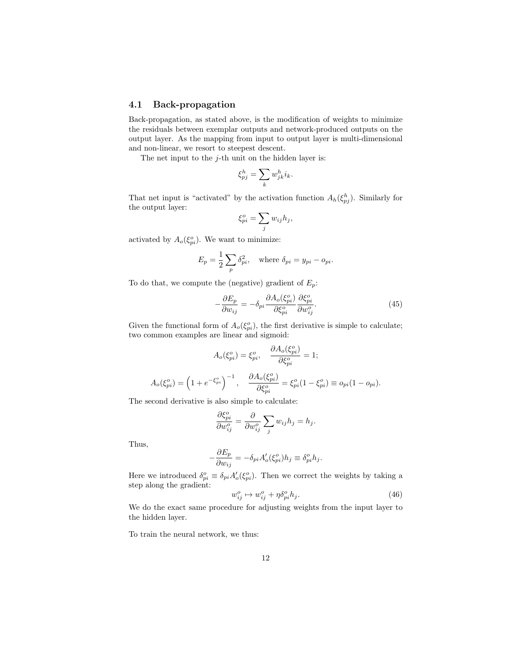## 4.1 Back-propagation

Back-propagation, as stated above, is the modification of weights to minimize the residuals between exemplar outputs and network-produced outputs on the output layer. As the mapping from input to output layer is multi-dimensional and non-linear, we resort to steepest descent.

The net input to the  $j$ -th unit on the hidden layer is:

$$
\xi_{pj}^h = \sum_k w_{jk}^h i_k.
$$

That net input is "activated" by the activation function  $A_h(\xi_{pj}^h)$ . Similarly for the output layer:

$$
\xi_{pi}^o = \sum_j w_{ij} h_j,
$$

activated by  $A_o(\xi_{pi}^o)$ . We want to minimize:

$$
E_p = \frac{1}{2} \sum_p \delta_{pi}^2, \quad \text{where } \delta_{pi} = y_{pi} - o_{pi}.
$$

To do that, we compute the (negative) gradient of  $E_p$ :

$$
-\frac{\partial E_p}{\partial w_{ij}} = -\delta_{pi} \frac{\partial A_o(\xi_{pi}^o)}{\partial \xi_{pi}^o} \frac{\partial \xi_{pi}^o}{\partial w_{ij}^o}.
$$
(45)

Given the functional form of  $A_o(\xi_{pi}^o)$ , the first derivative is simple to calculate; two common examples are linear and sigmoid:

$$
A_o(\xi_{pi}^o) = \xi_{pi}^o, \quad \frac{\partial A_o(\xi_{pi}^o)}{\partial \xi_{pi}^o} = 1;
$$

$$
A_o(\xi_{pi}^o) = \left(1 + e^{-\xi_{pi}^o}\right)^{-1}, \quad \frac{\partial A_o(\xi_{pi}^o)}{\partial \xi_{pi}^o} = \xi_{pi}^o(1 - \xi_{pi}^o) \equiv o_{pi}(1 - o_{pi}).
$$

The second derivative is also simple to calculate:

$$
\frac{\partial \xi_{pi}^o}{\partial w_{ij}^o} = \frac{\partial}{\partial w_{ij}^o} \sum_j w_{ij} h_j = h_j.
$$

Thus,

$$
-\frac{\partial E_p}{\partial w_{ij}} = -\delta_{pi} A'_o(\xi_{pi}^o) h_j \equiv \delta_{pi}^o h_j.
$$

Here we introduced  $\delta_{pi}^o \equiv \delta_{pi} A'_o(\xi_{pi}^o)$ . Then we correct the weights by taking a step along the gradient:

$$
w_{ij}^o \mapsto w_{ij}^o + \eta \delta_{pi}^o h_j. \tag{46}
$$

We do the exact same procedure for adjusting weights from the input layer to the hidden layer.

To train the neural network, we thus: